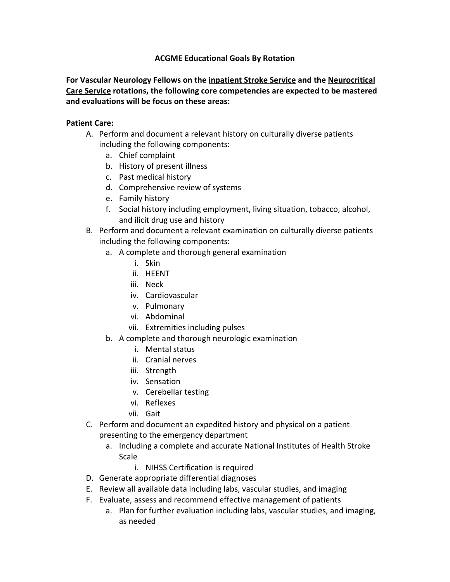### **ACGME Educational Goals By Rotation**

**For Vascular Neurology Fellows on the inpatient Stroke Service and the Neurocritical Care Service rotations, the following core competencies are expected to be mastered and evaluations will be focus on these areas:** 

#### **Patient Care:**

- A. Perform and document a relevant history on culturally diverse patients including the following components:
	- a. Chief complaint
	- b. History of present illness
	- c. Past medical history
	- d. Comprehensive review of systems
	- e. Family history
	- f. Social history including employment, living situation, tobacco, alcohol, and ilicit drug use and history
- B. Perform and document a relevant examination on culturally diverse patients including the following components:
	- a. A complete and thorough general examination
		- i. Skin
		- ii. HEENT
		- iii. Neck
		- iv. Cardiovascular
		- v. Pulmonary
		- vi. Abdominal
		- vii. Extremities including pulses
	- b. A complete and thorough neurologic examination
		- i. Mental status
		- ii. Cranial nerves
		- iii. Strength
		- iv. Sensation
		- v. Cerebellar testing
		- vi. Reflexes
		- vii. Gait
- C. Perform and document an expedited history and physical on a patient presenting to the emergency department
	- a. Including a complete and accurate National Institutes of Health Stroke Scale
		- i. NIHSS Certification is required
- D. Generate appropriate differential diagnoses
- E. Review all available data including labs, vascular studies, and imaging
- F. Evaluate, assess and recommend effective management of patients
	- a. Plan for further evaluation including labs, vascular studies, and imaging, as needed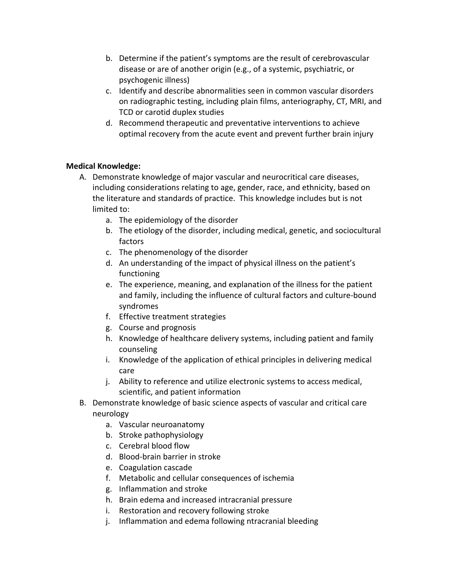- b. Determine if the patient's symptoms are the result of cerebrovascular disease or are of another origin (e.g., of a systemic, psychiatric, or psychogenic illness)
- c. Identify and describe abnormalities seen in common vascular disorders on radiographic testing, including plain films, anteriography, CT, MRI, and TCD or carotid duplex studies
- d. Recommend therapeutic and preventative interventions to achieve optimal recovery from the acute event and prevent further brain injury

## **Medical Knowledge:**

- A. Demonstrate knowledge of major vascular and neurocritical care diseases, including considerations relating to age, gender, race, and ethnicity, based on the literature and standards of practice. This knowledge includes but is not limited to:
	- a. The epidemiology of the disorder
	- b. The etiology of the disorder, including medical, genetic, and sociocultural factors
	- c. The phenomenology of the disorder
	- d. An understanding of the impact of physical illness on the patient's functioning
	- e. The experience, meaning, and explanation of the illness for the patient and family, including the influence of cultural factors and culture‐bound syndromes
	- f. Effective treatment strategies
	- g. Course and prognosis
	- h. Knowledge of healthcare delivery systems, including patient and family counseling
	- i. Knowledge of the application of ethical principles in delivering medical care
	- j. Ability to reference and utilize electronic systems to access medical, scientific, and patient information
- B. Demonstrate knowledge of basic science aspects of vascular and critical care neurology
	- a. Vascular neuroanatomy
	- b. Stroke pathophysiology
	- c. Cerebral blood flow
	- d. Blood‐brain barrier in stroke
	- e. Coagulation cascade
	- f. Metabolic and cellular consequences of ischemia
	- g. Inflammation and stroke
	- h. Brain edema and increased intracranial pressure
	- i. Restoration and recovery following stroke
	- j. Inflammation and edema following ntracranial bleeding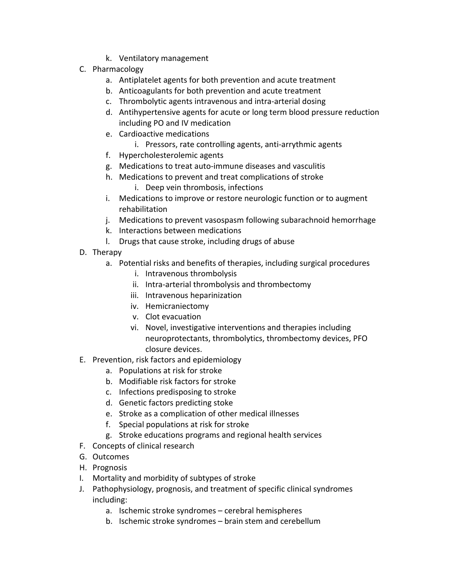- k. Ventilatory management
- C. Pharmacology
	- a. Antiplatelet agents for both prevention and acute treatment
	- b. Anticoagulants for both prevention and acute treatment
	- c. Thrombolytic agents intravenous and intra‐arterial dosing
	- d. Antihypertensive agents for acute or long term blood pressure reduction including PO and IV medication
	- e. Cardioactive medications
		- i. Pressors, rate controlling agents, anti-arrythmic agents
	- f. Hypercholesterolemic agents
	- g. Medications to treat auto‐immune diseases and vasculitis
	- h. Medications to prevent and treat complications of stroke
		- i. Deep vein thrombosis, infections
	- i. Medications to improve or restore neurologic function or to augment rehabilitation
	- j. Medications to prevent vasospasm following subarachnoid hemorrhage
	- k. Interactions between medications
	- l. Drugs that cause stroke, including drugs of abuse
- D. Therapy
	- a. Potential risks and benefits of therapies, including surgical procedures
		- i. Intravenous thrombolysis
		- ii. Intra‐arterial thrombolysis and thrombectomy
		- iii. Intravenous heparinization
		- iv. Hemicraniectomy
		- v. Clot evacuation
		- vi. Novel, investigative interventions and therapies including neuroprotectants, thrombolytics, thrombectomy devices, PFO closure devices.
- E. Prevention, risk factors and epidemiology
	- a. Populations at risk for stroke
	- b. Modifiable risk factors for stroke
	- c. Infections predisposing to stroke
	- d. Genetic factors predicting stoke
	- e. Stroke as a complication of other medical illnesses
	- f. Special populations at risk for stroke
	- g. Stroke educations programs and regional health services
- F. Concepts of clinical research
- G. Outcomes
- H. Prognosis
- I. Mortality and morbidity of subtypes of stroke
- J. Pathophysiology, prognosis, and treatment of specific clinical syndromes including:
	- a. Ischemic stroke syndromes cerebral hemispheres
	- b. Ischemic stroke syndromes brain stem and cerebellum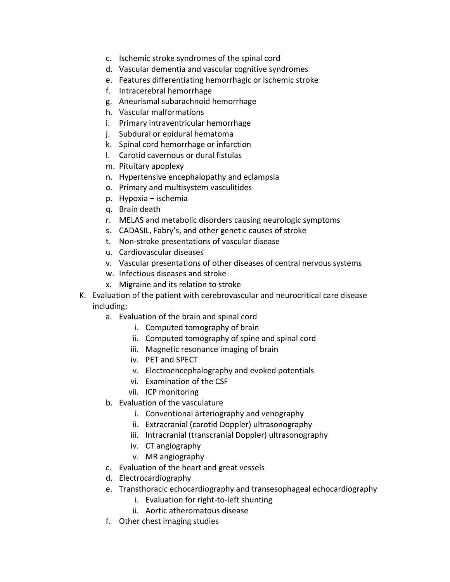- c. Ischemic stroke syndromes of the spinal cord
- d. Vascular dementia and vascular cognitive syndromes
- e. Features differentiating hemorrhagic or ischemic stroke
- f. Intracerebral hemorrhage
- g. Aneurismal subarachnoid hemorrhage
- h. Vascular malformations
- i. Primary intraventricular hemorrhage
- j. Subdural or epidural hematoma
- k. Spinal cord hemorrhage or infarction
- l. Carotid cavernous or dural fistulas
- m. Pituitary apoplexy
- n. Hypertensive encephalopathy and eclampsia
- o. Primary and multisystem vasculitides
- p. Hypoxia ischemia
- q. Brain death
- r. MELAS and metabolic disorders causing neurologic symptoms
- s. CADASIL, Fabry's, and other genetic causes of stroke
- t. Non‐stroke presentations of vascular disease
- u. Cardiovascular diseases
- v. Vascular presentations of other diseases of central nervous systems
- w. Infectious diseases and stroke
- x. Migraine and its relation to stroke
- K. Evaluation of the patient with cerebrovascular and neurocritical care disease including:
	- a. Evaluation of the brain and spinal cord
		- i. Computed tomography of brain
		- ii. Computed tomography of spine and spinal cord
		- iii. Magnetic resonance imaging of brain
		- iv. PET and SPECT
		- v. Electroencephalography and evoked potentials
		- vi. Examination of the CSF
		- vii. ICP monitoring
	- b. Evaluation of the vasculature
		- i. Conventional arteriography and venography
		- ii. Extracranial (carotid Doppler) ultrasonography
		- iii. Intracranial (transcranial Doppler) ultrasonography
		- iv. CT angiography
		- v. MR angiography
	- c. Evaluation of the heart and great vessels
	- d. Electrocardiography
	- e. Transthoracic echocardiography and transesophageal echocardiography
		- i. Evaluation for right‐to‐left shunting
		- ii. Aortic atheromatous disease
	- f. Other chest imaging studies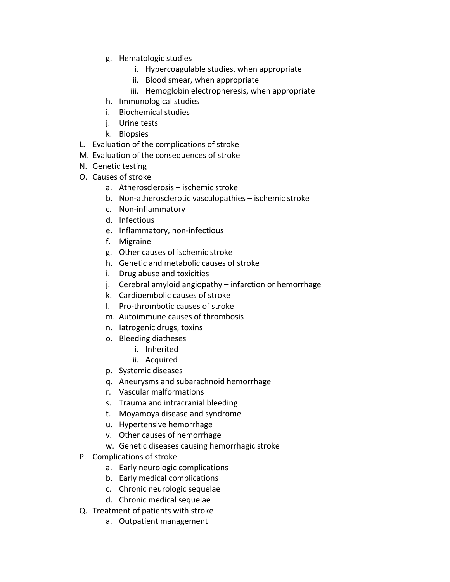- g. Hematologic studies
	- i. Hypercoagulable studies, when appropriate
	- ii. Blood smear, when appropriate
	- iii. Hemoglobin electropheresis, when appropriate
- h. Immunological studies
- i. Biochemical studies
- j. Urine tests
- k. Biopsies
- L. Evaluation of the complications of stroke
- M. Evaluation of the consequences of stroke
- N. Genetic testing
- O. Causes of stroke
	- a. Atherosclerosis ischemic stroke
	- b. Non‐atherosclerotic vasculopathies ischemic stroke
	- c. Non‐inflammatory
	- d. Infectious
	- e. Inflammatory, non‐infectious
	- f. Migraine
	- g. Other causes of ischemic stroke
	- h. Genetic and metabolic causes of stroke
	- i. Drug abuse and toxicities
	- j. Cerebral amyloid angiopathy infarction or hemorrhage
	- k. Cardioembolic causes of stroke
	- l. Pro‐thrombotic causes of stroke
	- m. Autoimmune causes of thrombosis
	- n. Iatrogenic drugs, toxins
	- o. Bleeding diatheses
		- i. Inherited
		- ii. Acquired
	- p. Systemic diseases
	- q. Aneurysms and subarachnoid hemorrhage
	- r. Vascular malformations
	- s. Trauma and intracranial bleeding
	- t. Moyamoya disease and syndrome
	- u. Hypertensive hemorrhage
	- v. Other causes of hemorrhage
	- w. Genetic diseases causing hemorrhagic stroke
- P. Complications of stroke
	- a. Early neurologic complications
	- b. Early medical complications
	- c. Chronic neurologic sequelae
	- d. Chronic medical sequelae
- Q. Treatment of patients with stroke
	- a. Outpatient management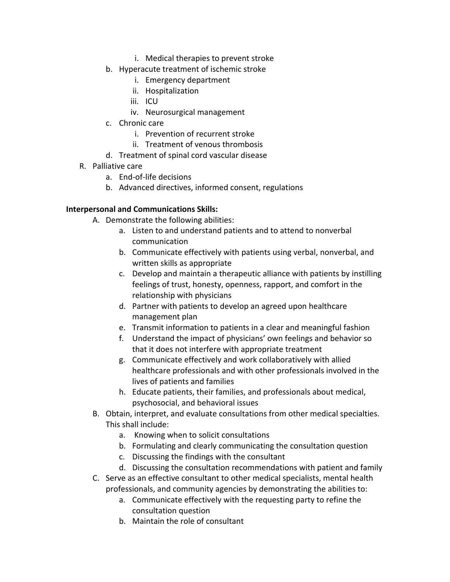- i. Medical therapies to prevent stroke
- b. Hyperacute treatment of ischemic stroke
	- i. Emergency department
	- ii. Hospitalization
	- iii. ICU
	- iv. Neurosurgical management
- c. Chronic care
	- i. Prevention of recurrent stroke
	- ii. Treatment of venous thrombosis
- d. Treatment of spinal cord vascular disease
- R. Palliative care
	- a. End‐of‐life decisions
	- b. Advanced directives, informed consent, regulations

#### **Interpersonal and Communications Skills:**

- A. Demonstrate the following abilities:
	- a. Listen to and understand patients and to attend to nonverbal communication
	- b. Communicate effectively with patients using verbal, nonverbal, and written skills as appropriate
	- c. Develop and maintain a therapeutic alliance with patients by instilling feelings of trust, honesty, openness, rapport, and comfort in the relationship with physicians
	- d. Partner with patients to develop an agreed upon healthcare management plan
	- e. Transmit information to patients in a clear and meaningful fashion
	- f. Understand the impact of physicians' own feelings and behavior so that it does not interfere with appropriate treatment
	- g. Communicate effectively and work collaboratively with allied healthcare professionals and with other professionals involved in the lives of patients and families
	- h. Educate patients, their families, and professionals about medical, psychosocial, and behavioral issues
- B. Obtain, interpret, and evaluate consultations from other medical specialties. This shall include:
	- a. Knowing when to solicit consultations
	- b. Formulating and clearly communicating the consultation question
	- c. Discussing the findings with the consultant
	- d. Discussing the consultation recommendations with patient and family
- C. Serve as an effective consultant to other medical specialists, mental health professionals, and community agencies by demonstrating the abilities to:
	- a. Communicate effectively with the requesting party to refine the consultation question
	- b. Maintain the role of consultant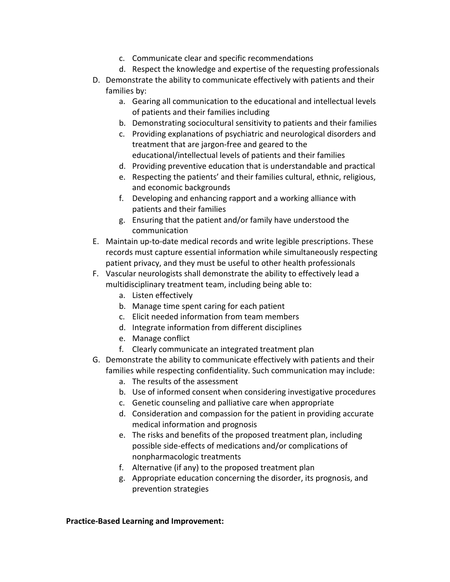- c. Communicate clear and specific recommendations
- d. Respect the knowledge and expertise of the requesting professionals
- D. Demonstrate the ability to communicate effectively with patients and their families by:
	- a. Gearing all communication to the educational and intellectual levels of patients and their families including
	- b. Demonstrating sociocultural sensitivity to patients and their families
	- c. Providing explanations of psychiatric and neurological disorders and treatment that are jargon‐free and geared to the educational/intellectual levels of patients and their families
	- d. Providing preventive education that is understandable and practical
	- e. Respecting the patients' and their families cultural, ethnic, religious, and economic backgrounds
	- f. Developing and enhancing rapport and a working alliance with patients and their families
	- g. Ensuring that the patient and/or family have understood the communication
- E. Maintain up‐to‐date medical records and write legible prescriptions. These records must capture essential information while simultaneously respecting patient privacy, and they must be useful to other health professionals
- F. Vascular neurologists shall demonstrate the ability to effectively lead a multidisciplinary treatment team, including being able to:
	- a. Listen effectively
	- b. Manage time spent caring for each patient
	- c. Elicit needed information from team members
	- d. Integrate information from different disciplines
	- e. Manage conflict
	- f. Clearly communicate an integrated treatment plan
- G. Demonstrate the ability to communicate effectively with patients and their families while respecting confidentiality. Such communication may include:
	- a. The results of the assessment
	- b. Use of informed consent when considering investigative procedures
	- c. Genetic counseling and palliative care when appropriate
	- d. Consideration and compassion for the patient in providing accurate medical information and prognosis
	- e. The risks and benefits of the proposed treatment plan, including possible side‐effects of medications and/or complications of nonpharmacologic treatments
	- f. Alternative (if any) to the proposed treatment plan
	- g. Appropriate education concerning the disorder, its prognosis, and prevention strategies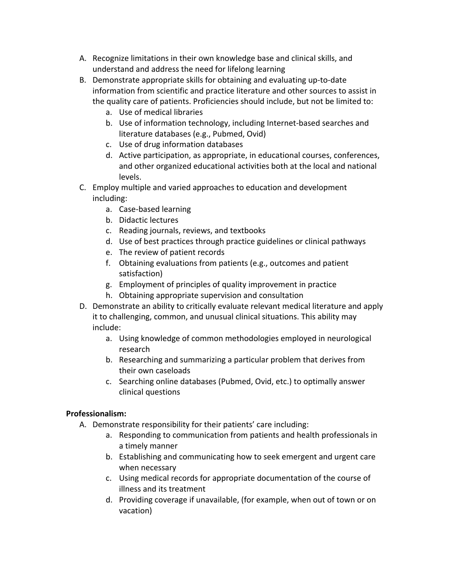- A. Recognize limitations in their own knowledge base and clinical skills, and understand and address the need for lifelong learning
- B. Demonstrate appropriate skills for obtaining and evaluating up‐to‐date information from scientific and practice literature and other sources to assist in the quality care of patients. Proficiencies should include, but not be limited to:
	- a. Use of medical libraries
	- b. Use of information technology, including Internet‐based searches and literature databases (e.g., Pubmed, Ovid)
	- c. Use of drug information databases
	- d. Active participation, as appropriate, in educational courses, conferences, and other organized educational activities both at the local and national levels.
- C. Employ multiple and varied approaches to education and development including:
	- a. Case‐based learning
	- b. Didactic lectures
	- c. Reading journals, reviews, and textbooks
	- d. Use of best practices through practice guidelines or clinical pathways
	- e. The review of patient records
	- f. Obtaining evaluations from patients (e.g., outcomes and patient satisfaction)
	- g. Employment of principles of quality improvement in practice
	- h. Obtaining appropriate supervision and consultation
- D. Demonstrate an ability to critically evaluate relevant medical literature and apply it to challenging, common, and unusual clinical situations. This ability may include:
	- a. Using knowledge of common methodologies employed in neurological research
	- b. Researching and summarizing a particular problem that derives from their own caseloads
	- c. Searching online databases (Pubmed, Ovid, etc.) to optimally answer clinical questions

# **Professionalism:**

- A. Demonstrate responsibility for their patients' care including:
	- a. Responding to communication from patients and health professionals in a timely manner
	- b. Establishing and communicating how to seek emergent and urgent care when necessary
	- c. Using medical records for appropriate documentation of the course of illness and its treatment
	- d. Providing coverage if unavailable, (for example, when out of town or on vacation)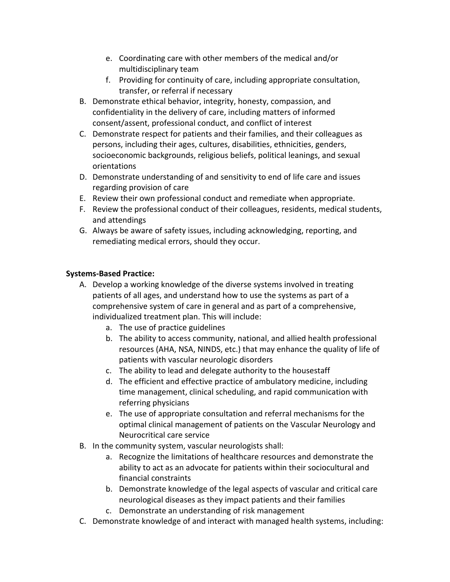- e. Coordinating care with other members of the medical and/or multidisciplinary team
- f. Providing for continuity of care, including appropriate consultation, transfer, or referral if necessary
- B. Demonstrate ethical behavior, integrity, honesty, compassion, and confidentiality in the delivery of care, including matters of informed consent/assent, professional conduct, and conflict of interest
- C. Demonstrate respect for patients and their families, and their colleagues as persons, including their ages, cultures, disabilities, ethnicities, genders, socioeconomic backgrounds, religious beliefs, political leanings, and sexual orientations
- D. Demonstrate understanding of and sensitivity to end of life care and issues regarding provision of care
- E. Review their own professional conduct and remediate when appropriate.
- F. Review the professional conduct of their colleagues, residents, medical students, and attendings
- G. Always be aware of safety issues, including acknowledging, reporting, and remediating medical errors, should they occur.

- A. Develop a working knowledge of the diverse systems involved in treating patients of all ages, and understand how to use the systems as part of a comprehensive system of care in general and as part of a comprehensive, individualized treatment plan. This will include:
	- a. The use of practice guidelines
	- b. The ability to access community, national, and allied health professional resources (AHA, NSA, NINDS, etc.) that may enhance the quality of life of patients with vascular neurologic disorders
	- c. The ability to lead and delegate authority to the housestaff
	- d. The efficient and effective practice of ambulatory medicine, including time management, clinical scheduling, and rapid communication with referring physicians
	- e. The use of appropriate consultation and referral mechanisms for the optimal clinical management of patients on the Vascular Neurology and Neurocritical care service
- B. In the community system, vascular neurologists shall:
	- a. Recognize the limitations of healthcare resources and demonstrate the ability to act as an advocate for patients within their sociocultural and financial constraints
	- b. Demonstrate knowledge of the legal aspects of vascular and critical care neurological diseases as they impact patients and their families
	- c. Demonstrate an understanding of risk management
- C. Demonstrate knowledge of and interact with managed health systems, including: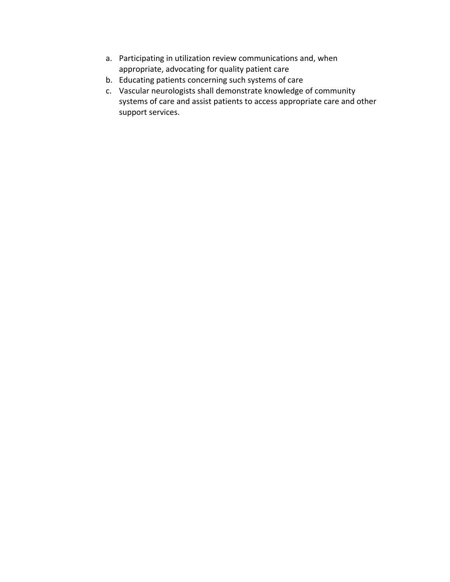- a. Participating in utilization review communications and, when appropriate, advocating for quality patient care
- b. Educating patients concerning such systems of care
- c. Vascular neurologists shall demonstrate knowledge of community systems of care and assist patients to access appropriate care and other support services.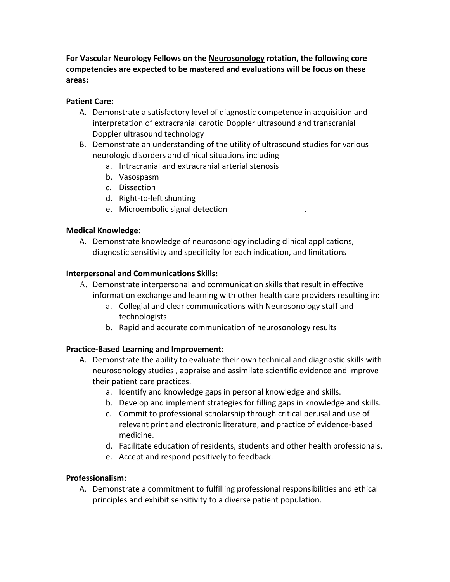**For Vascular Neurology Fellows on the Neurosonology rotation, the following core competencies are expected to be mastered and evaluations will be focus on these areas:** 

## **Patient Care:**

- A. Demonstrate a satisfactory level of diagnostic competence in acquisition and interpretation of extracranial carotid Doppler ultrasound and transcranial Doppler ultrasound technology
- B. Demonstrate an understanding of the utility of ultrasound studies for various neurologic disorders and clinical situations including
	- a. Intracranial and extracranial arterial stenosis
	- b. Vasospasm
	- c. Dissection
	- d. Right‐to‐left shunting
	- e. Microembolic signal detection  $\blacksquare$

#### **Medical Knowledge:**

A. Demonstrate knowledge of neurosonology including clinical applications, diagnostic sensitivity and specificity for each indication, and limitations

#### **Interpersonal and Communications Skills:**

- A. Demonstrate interpersonal and communication skills that result in effective information exchange and learning with other health care providers resulting in:
	- a. Collegial and clear communications with Neurosonology staff and technologists
	- b. Rapid and accurate communication of neurosonology results

## **Practice‐Based Learning and Improvement:**

- A. Demonstrate the ability to evaluate their own technical and diagnostic skills with neurosonology studies , appraise and assimilate scientific evidence and improve their patient care practices.
	- a. Identify and knowledge gaps in personal knowledge and skills.
	- b. Develop and implement strategies for filling gaps in knowledge and skills.
	- c. Commit to professional scholarship through critical perusal and use of relevant print and electronic literature, and practice of evidence‐based medicine.
	- d. Facilitate education of residents, students and other health professionals.
	- e. Accept and respond positively to feedback.

## **Professionalism:**

A. Demonstrate a commitment to fulfilling professional responsibilities and ethical principles and exhibit sensitivity to a diverse patient population.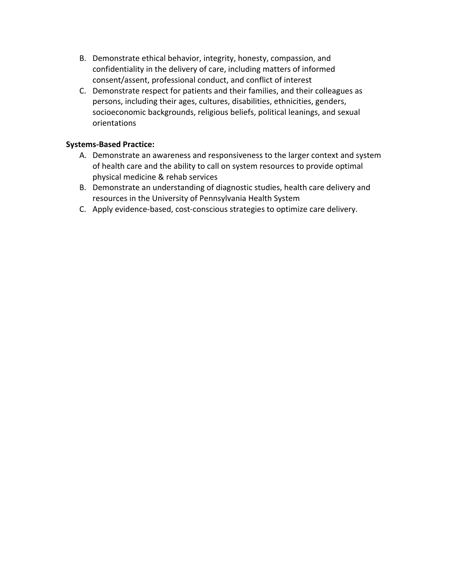- B. Demonstrate ethical behavior, integrity, honesty, compassion, and confidentiality in the delivery of care, including matters of informed consent/assent, professional conduct, and conflict of interest
- C. Demonstrate respect for patients and their families, and their colleagues as persons, including their ages, cultures, disabilities, ethnicities, genders, socioeconomic backgrounds, religious beliefs, political leanings, and sexual orientations

- A. Demonstrate an awareness and responsiveness to the larger context and system of health care and the ability to call on system resources to provide optimal physical medicine & rehab services
- B. Demonstrate an understanding of diagnostic studies, health care delivery and resources in the University of Pennsylvania Health System
- C. Apply evidence‐based, cost‐conscious strategies to optimize care delivery.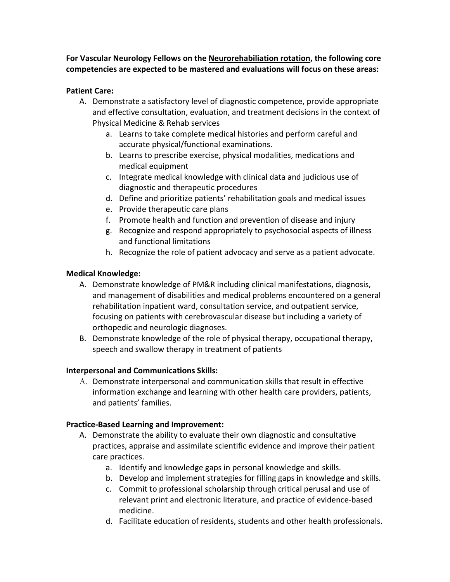**For Vascular Neurology Fellows on the Neurorehabiliation rotation, the following core competencies are expected to be mastered and evaluations will focus on these areas:** 

## **Patient Care:**

- A. Demonstrate a satisfactory level of diagnostic competence, provide appropriate and effective consultation, evaluation, and treatment decisions in the context of Physical Medicine & Rehab services
	- a. Learns to take complete medical histories and perform careful and accurate physical/functional examinations.
	- b. Learns to prescribe exercise, physical modalities, medications and medical equipment
	- c. Integrate medical knowledge with clinical data and judicious use of diagnostic and therapeutic procedures
	- d. Define and prioritize patients' rehabilitation goals and medical issues
	- e. Provide therapeutic care plans
	- f. Promote health and function and prevention of disease and injury
	- g. Recognize and respond appropriately to psychosocial aspects of illness and functional limitations
	- h. Recognize the role of patient advocacy and serve as a patient advocate.

# **Medical Knowledge:**

- A. Demonstrate knowledge of PM&R including clinical manifestations, diagnosis, and management of disabilities and medical problems encountered on a general rehabilitation inpatient ward, consultation service, and outpatient service, focusing on patients with cerebrovascular disease but including a variety of orthopedic and neurologic diagnoses.
- B. Demonstrate knowledge of the role of physical therapy, occupational therapy, speech and swallow therapy in treatment of patients

# **Interpersonal and Communications Skills:**

A. Demonstrate interpersonal and communication skills that result in effective information exchange and learning with other health care providers, patients, and patients' families.

- A. Demonstrate the ability to evaluate their own diagnostic and consultative practices, appraise and assimilate scientific evidence and improve their patient care practices.
	- a. Identify and knowledge gaps in personal knowledge and skills.
	- b. Develop and implement strategies for filling gaps in knowledge and skills.
	- c. Commit to professional scholarship through critical perusal and use of relevant print and electronic literature, and practice of evidence‐based medicine.
	- d. Facilitate education of residents, students and other health professionals.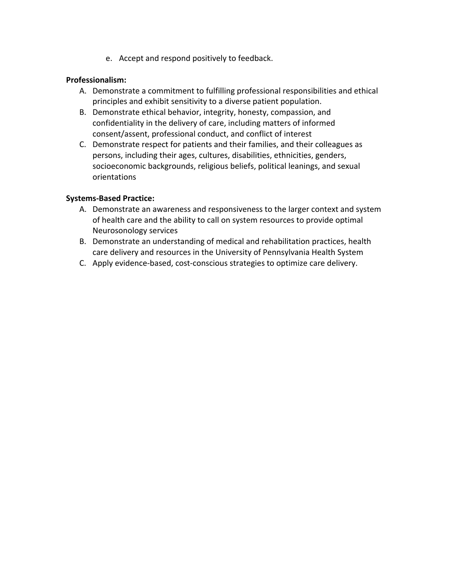e. Accept and respond positively to feedback.

#### **Professionalism:**

- A. Demonstrate a commitment to fulfilling professional responsibilities and ethical principles and exhibit sensitivity to a diverse patient population.
- B. Demonstrate ethical behavior, integrity, honesty, compassion, and confidentiality in the delivery of care, including matters of informed consent/assent, professional conduct, and conflict of interest
- C. Demonstrate respect for patients and their families, and their colleagues as persons, including their ages, cultures, disabilities, ethnicities, genders, socioeconomic backgrounds, religious beliefs, political leanings, and sexual orientations

- A. Demonstrate an awareness and responsiveness to the larger context and system of health care and the ability to call on system resources to provide optimal Neurosonology services
- B. Demonstrate an understanding of medical and rehabilitation practices, health care delivery and resources in the University of Pennsylvania Health System
- C. Apply evidence‐based, cost‐conscious strategies to optimize care delivery.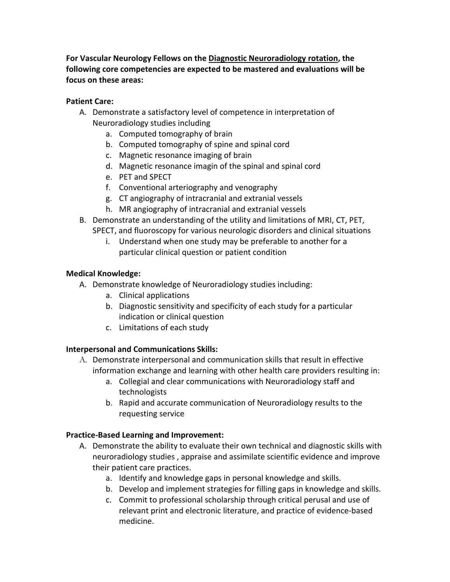**For Vascular Neurology Fellows on the Diagnostic Neuroradiology rotation, the following core competencies are expected to be mastered and evaluations will be focus on these areas:** 

### **Patient Care:**

- A. Demonstrate a satisfactory level of competence in interpretation of Neuroradiology studies including
	- a. Computed tomography of brain
	- b. Computed tomography of spine and spinal cord
	- c. Magnetic resonance imaging of brain
	- d. Magnetic resonance imagin of the spinal and spinal cord
	- e. PET and SPECT
	- f. Conventional arteriography and venography
	- g. CT angiography of intracranial and extranial vessels
	- h. MR angiography of intracranial and extranial vessels
- B. Demonstrate an understanding of the utility and limitations of MRI, CT, PET, SPECT, and fluoroscopy for various neurologic disorders and clinical situations
	- i. Understand when one study may be preferable to another for a particular clinical question or patient condition

## **Medical Knowledge:**

- A. Demonstrate knowledge of Neuroradiology studies including:
	- a. Clinical applications
	- b. Diagnostic sensitivity and specificity of each study for a particular indication or clinical question
	- c. Limitations of each study

## **Interpersonal and Communications Skills:**

- A. Demonstrate interpersonal and communication skills that result in effective information exchange and learning with other health care providers resulting in:
	- a. Collegial and clear communications with Neuroradiology staff and technologists
	- b. Rapid and accurate communication of Neuroradiology results to the requesting service

- A. Demonstrate the ability to evaluate their own technical and diagnostic skills with neuroradiology studies , appraise and assimilate scientific evidence and improve their patient care practices.
	- a. Identify and knowledge gaps in personal knowledge and skills.
	- b. Develop and implement strategies for filling gaps in knowledge and skills.
	- c. Commit to professional scholarship through critical perusal and use of relevant print and electronic literature, and practice of evidence‐based medicine.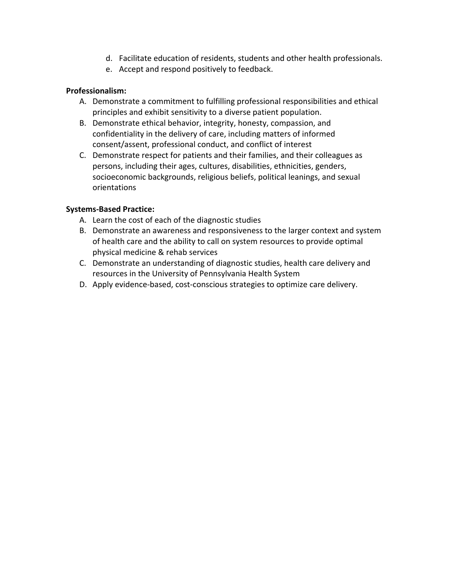- d. Facilitate education of residents, students and other health professionals.
- e. Accept and respond positively to feedback.

## **Professionalism:**

- A. Demonstrate a commitment to fulfilling professional responsibilities and ethical principles and exhibit sensitivity to a diverse patient population.
- B. Demonstrate ethical behavior, integrity, honesty, compassion, and confidentiality in the delivery of care, including matters of informed consent/assent, professional conduct, and conflict of interest
- C. Demonstrate respect for patients and their families, and their colleagues as persons, including their ages, cultures, disabilities, ethnicities, genders, socioeconomic backgrounds, religious beliefs, political leanings, and sexual orientations

- A. Learn the cost of each of the diagnostic studies
- B. Demonstrate an awareness and responsiveness to the larger context and system of health care and the ability to call on system resources to provide optimal physical medicine & rehab services
- C. Demonstrate an understanding of diagnostic studies, health care delivery and resources in the University of Pennsylvania Health System
- D. Apply evidence‐based, cost‐conscious strategies to optimize care delivery.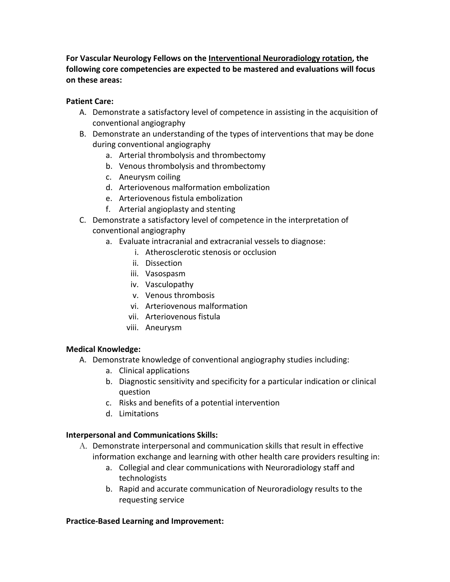**For Vascular Neurology Fellows on the Interventional Neuroradiology rotation, the following core competencies are expected to be mastered and evaluations will focus on these areas:** 

### **Patient Care:**

- A. Demonstrate a satisfactory level of competence in assisting in the acquisition of conventional angiography
- B. Demonstrate an understanding of the types of interventions that may be done during conventional angiography
	- a. Arterial thrombolysis and thrombectomy
	- b. Venous thrombolysis and thrombectomy
	- c. Aneurysm coiling
	- d. Arteriovenous malformation embolization
	- e. Arteriovenous fistula embolization
	- f. Arterial angioplasty and stenting
- C. Demonstrate a satisfactory level of competence in the interpretation of conventional angiography
	- a. Evaluate intracranial and extracranial vessels to diagnose:
		- i. Atherosclerotic stenosis or occlusion
		- ii. Dissection
		- iii. Vasospasm
		- iv. Vasculopathy
		- v. Venous thrombosis
		- vi. Arteriovenous malformation
		- vii. Arteriovenous fistula
		- viii. Aneurysm

## **Medical Knowledge:**

- A. Demonstrate knowledge of conventional angiography studies including:
	- a. Clinical applications
	- b. Diagnostic sensitivity and specificity for a particular indication or clinical question
	- c. Risks and benefits of a potential intervention
	- d. Limitations

## **Interpersonal and Communications Skills:**

- A. Demonstrate interpersonal and communication skills that result in effective information exchange and learning with other health care providers resulting in:
	- a. Collegial and clear communications with Neuroradiology staff and technologists
	- b. Rapid and accurate communication of Neuroradiology results to the requesting service